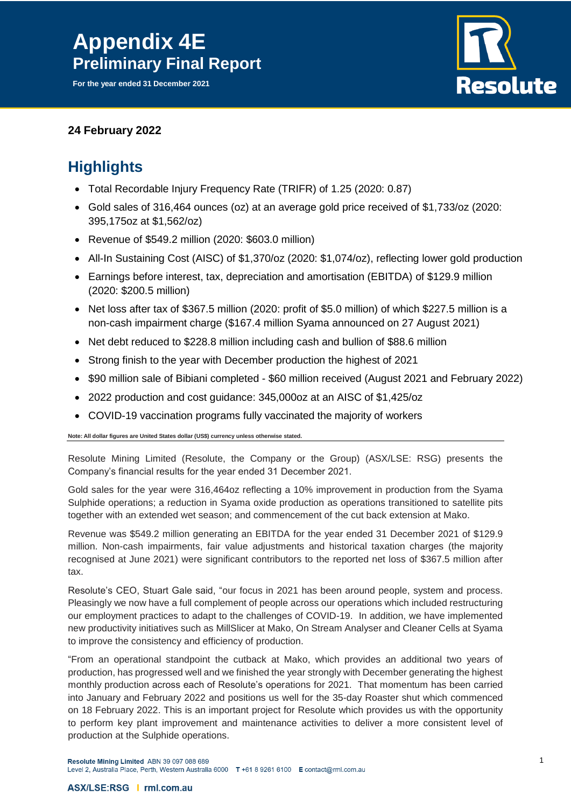**For the year ended 31 December 2021**



### **24 February 2022**

## **Highlights**

- Total Recordable Injury Frequency Rate (TRIFR) of 1.25 (2020: 0.87)
- Gold sales of 316,464 ounces (oz) at an average gold price received of \$1,733/oz (2020: 395,175oz at \$1,562/oz)
- Revenue of \$549.2 million (2020: \$603.0 million)
- All-In Sustaining Cost (AISC) of \$1,370/oz (2020: \$1,074/oz), reflecting lower gold production
- Earnings before interest, tax, depreciation and amortisation (EBITDA) of \$129.9 million (2020: \$200.5 million)
- Net loss after tax of \$367.5 million (2020: profit of \$5.0 million) of which \$227.5 million is a non-cash impairment charge (\$167.4 million Syama announced on 27 August 2021)
- Net debt reduced to \$228.8 million including cash and bullion of \$88.6 million
- Strong finish to the year with December production the highest of 2021
- \$90 million sale of Bibiani completed \$60 million received (August 2021 and February 2022)
- 2022 production and cost guidance: 345,000oz at an AISC of \$1,425/oz
- COVID-19 vaccination programs fully vaccinated the majority of workers

**Note: All dollar figures are United States dollar (US\$) currency unless otherwise stated.**

Resolute Mining Limited (Resolute, the Company or the Group) (ASX/LSE: RSG) presents the Company's financial results for the year ended 31 December 2021.

Gold sales for the year were 316,464oz reflecting a 10% improvement in production from the Syama Sulphide operations; a reduction in Syama oxide production as operations transitioned to satellite pits together with an extended wet season; and commencement of the cut back extension at Mako.

Revenue was \$549.2 million generating an EBITDA for the year ended 31 December 2021 of \$129.9 million. Non-cash impairments, fair value adjustments and historical taxation charges (the majority recognised at June 2021) were significant contributors to the reported net loss of \$367.5 million after tax.

Resolute's CEO, Stuart Gale said, "our focus in 2021 has been around people, system and process. Pleasingly we now have a full complement of people across our operations which included restructuring our employment practices to adapt to the challenges of COVID-19. In addition, we have implemented new productivity initiatives such as MillSlicer at Mako, On Stream Analyser and Cleaner Cells at Syama to improve the consistency and efficiency of production.

"From an operational standpoint the cutback at Mako, which provides an additional two years of production, has progressed well and we finished the year strongly with December generating the highest monthly production across each of Resolute's operations for 2021. That momentum has been carried into January and February 2022 and positions us well for the 35-day Roaster shut which commenced on 18 February 2022. This is an important project for Resolute which provides us with the opportunity to perform key plant improvement and maintenance activities to deliver a more consistent level of production at the Sulphide operations.

Resolute Mining Limited ABN 39 097 088 689

Level 2, Australia Place, Perth, Western Australia 6000 T+61 8 9261 6100 E contact@rml.com.au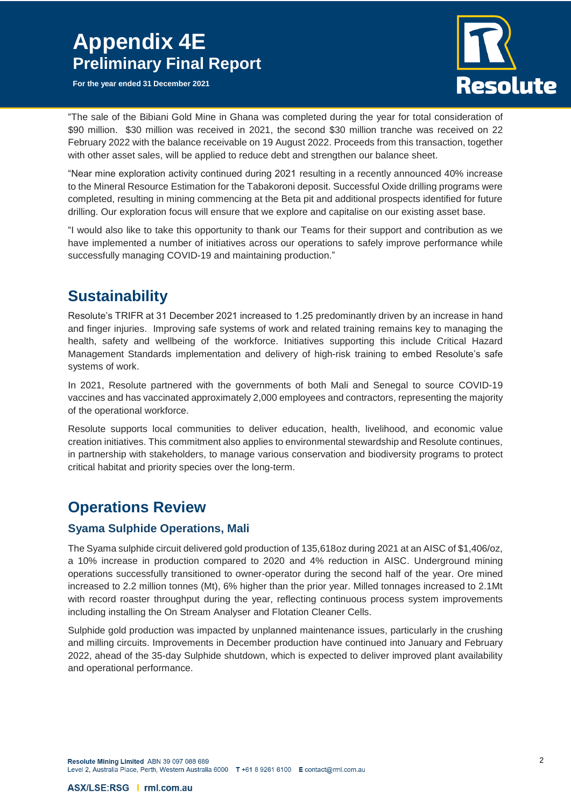**For the year ended 31 December 2021**



"The sale of the Bibiani Gold Mine in Ghana was completed during the year for total consideration of \$90 million. \$30 million was received in 2021, the second \$30 million tranche was received on 22 February 2022 with the balance receivable on 19 August 2022. Proceeds from this transaction, together with other asset sales, will be applied to reduce debt and strengthen our balance sheet.

"Near mine exploration activity continued during 2021 resulting in a recently announced 40% increase to the Mineral Resource Estimation for the Tabakoroni deposit. Successful Oxide drilling programs were completed, resulting in mining commencing at the Beta pit and additional prospects identified for future drilling. Our exploration focus will ensure that we explore and capitalise on our existing asset base.

"I would also like to take this opportunity to thank our Teams for their support and contribution as we have implemented a number of initiatives across our operations to safely improve performance while successfully managing COVID-19 and maintaining production."

## **Sustainability**

Resolute's TRIFR at 31 December 2021 increased to 1.25 predominantly driven by an increase in hand and finger injuries. Improving safe systems of work and related training remains key to managing the health, safety and wellbeing of the workforce. Initiatives supporting this include Critical Hazard Management Standards implementation and delivery of high-risk training to embed Resolute's safe systems of work.

In 2021, Resolute partnered with the governments of both Mali and Senegal to source COVID-19 vaccines and has vaccinated approximately 2,000 employees and contractors, representing the majority of the operational workforce.

Resolute supports local communities to deliver education, health, livelihood, and economic value creation initiatives. This commitment also applies to environmental stewardship and Resolute continues, in partnership with stakeholders, to manage various conservation and biodiversity programs to protect critical habitat and priority species over the long-term.

### **Operations Review**

### **Syama Sulphide Operations, Mali**

The Syama sulphide circuit delivered gold production of 135,618oz during 2021 at an AISC of \$1,406/oz, a 10% increase in production compared to 2020 and 4% reduction in AISC. Underground mining operations successfully transitioned to owner-operator during the second half of the year. Ore mined increased to 2.2 million tonnes (Mt), 6% higher than the prior year. Milled tonnages increased to 2.1Mt with record roaster throughput during the year, reflecting continuous process system improvements including installing the On Stream Analyser and Flotation Cleaner Cells.

Sulphide gold production was impacted by unplanned maintenance issues, particularly in the crushing and milling circuits. Improvements in December production have continued into January and February 2022, ahead of the 35-day Sulphide shutdown, which is expected to deliver improved plant availability and operational performance.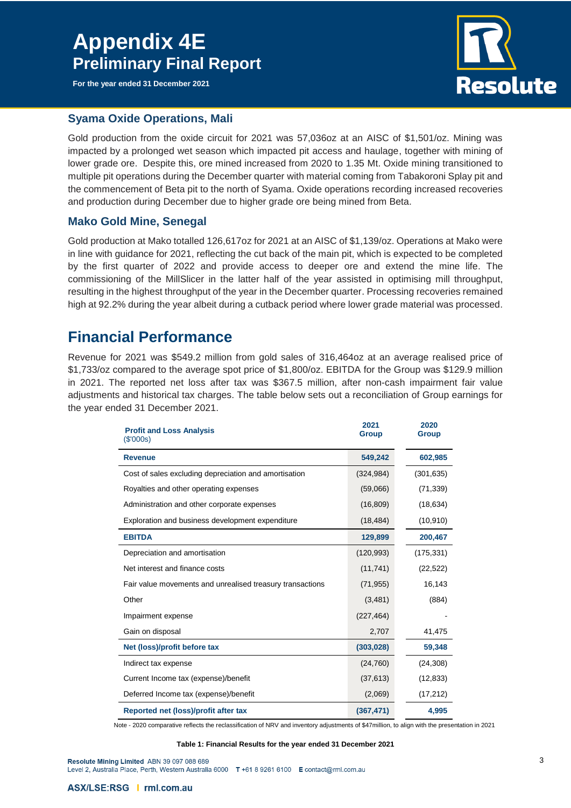**For the year ended 31 December 2021**



#### **Syama Oxide Operations, Mali**

Gold production from the oxide circuit for 2021 was 57,036oz at an AISC of \$1,501/oz. Mining was impacted by a prolonged wet season which impacted pit access and haulage, together with mining of lower grade ore. Despite this, ore mined increased from 2020 to 1.35 Mt. Oxide mining transitioned to multiple pit operations during the December quarter with material coming from Tabakoroni Splay pit and the commencement of Beta pit to the north of Syama. Oxide operations recording increased recoveries and production during December due to higher grade ore being mined from Beta.

#### **Mako Gold Mine, Senegal**

Gold production at Mako totalled 126,617oz for 2021 at an AISC of \$1,139/oz. Operations at Mako were in line with guidance for 2021, reflecting the cut back of the main pit, which is expected to be completed by the first quarter of 2022 and provide access to deeper ore and extend the mine life. The commissioning of the MillSlicer in the latter half of the year assisted in optimising mill throughput, resulting in the highest throughput of the year in the December quarter. Processing recoveries remained high at 92.2% during the year albeit during a cutback period where lower grade material was processed.

## **Financial Performance**

Revenue for 2021 was \$549.2 million from gold sales of 316,464oz at an average realised price of \$1,733/oz compared to the average spot price of \$1,800/oz. EBITDA for the Group was \$129.9 million in 2021. The reported net loss after tax was \$367.5 million, after non-cash impairment fair value adjustments and historical tax charges. The table below sets out a reconciliation of Group earnings for the year ended 31 December 2021.

| <b>Profit and Loss Analysis</b><br>(\$'000s)              | 2021<br><b>Group</b> | 2020<br><b>Group</b> |
|-----------------------------------------------------------|----------------------|----------------------|
| <b>Revenue</b>                                            | 549,242              | 602,985              |
| Cost of sales excluding depreciation and amortisation     | (324, 984)           | (301, 635)           |
| Royalties and other operating expenses                    | (59,066)             | (71, 339)            |
| Administration and other corporate expenses               | (16, 809)            | (18, 634)            |
| Exploration and business development expenditure          | (18, 484)            | (10, 910)            |
| <b>EBITDA</b>                                             | 129,899              | 200,467              |
| Depreciation and amortisation                             | (120, 993)           | (175, 331)           |
| Net interest and finance costs                            | (11, 741)            | (22, 522)            |
| Fair value movements and unrealised treasury transactions | (71, 955)            | 16,143               |
| Other                                                     | (3,481)              | (884)                |
| Impairment expense                                        | (227, 464)           |                      |
| Gain on disposal                                          | 2,707                | 41,475               |
| Net (loss)/profit before tax                              | (303, 028)           | 59,348               |
| Indirect tax expense                                      | (24, 760)            | (24, 308)            |
| Current Income tax (expense)/benefit                      | (37, 613)            | (12, 833)            |
| Deferred Income tax (expense)/benefit                     | (2,069)              | (17, 212)            |
| Reported net (loss)/profit after tax                      | (367, 471)           | 4,995                |

Note - 2020 comparative reflects the reclassification of NRV and inventory adjustments of \$47million, to align with the presentation in 2021

**Table 1: Financial Results for the year ended 31 December 2021**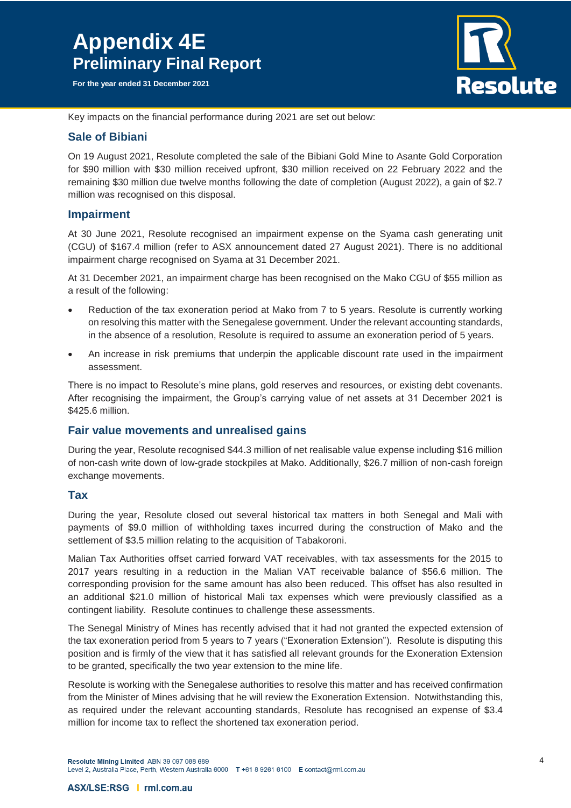**For the year ended 31 December 2021**



Key impacts on the financial performance during 2021 are set out below:

#### **Sale of Bibiani**

On 19 August 2021, Resolute completed the sale of the Bibiani Gold Mine to Asante Gold Corporation for \$90 million with \$30 million received upfront, \$30 million received on 22 February 2022 and the remaining \$30 million due twelve months following the date of completion (August 2022), a gain of \$2.7 million was recognised on this disposal.

#### **Impairment**

At 30 June 2021, Resolute recognised an impairment expense on the Syama cash generating unit (CGU) of \$167.4 million (refer to ASX announcement dated 27 August 2021). There is no additional impairment charge recognised on Syama at 31 December 2021.

At 31 December 2021, an impairment charge has been recognised on the Mako CGU of \$55 million as a result of the following:

- Reduction of the tax exoneration period at Mako from 7 to 5 years. Resolute is currently working on resolving this matter with the Senegalese government. Under the relevant accounting standards, in the absence of a resolution, Resolute is required to assume an exoneration period of 5 years.
- An increase in risk premiums that underpin the applicable discount rate used in the impairment assessment.

There is no impact to Resolute's mine plans, gold reserves and resources, or existing debt covenants. After recognising the impairment, the Group's carrying value of net assets at 31 December 2021 is \$425.6 million.

#### **Fair value movements and unrealised gains**

During the year, Resolute recognised \$44.3 million of net realisable value expense including \$16 million of non-cash write down of low-grade stockpiles at Mako. Additionally, \$26.7 million of non-cash foreign exchange movements.

#### **Tax**

During the year, Resolute closed out several historical tax matters in both Senegal and Mali with payments of \$9.0 million of withholding taxes incurred during the construction of Mako and the settlement of \$3.5 million relating to the acquisition of Tabakoroni.

Malian Tax Authorities offset carried forward VAT receivables, with tax assessments for the 2015 to 2017 years resulting in a reduction in the Malian VAT receivable balance of \$56.6 million. The corresponding provision for the same amount has also been reduced. This offset has also resulted in an additional \$21.0 million of historical Mali tax expenses which were previously classified as a contingent liability. Resolute continues to challenge these assessments.

The Senegal Ministry of Mines has recently advised that it had not granted the expected extension of the tax exoneration period from 5 years to 7 years ("Exoneration Extension"). Resolute is disputing this position and is firmly of the view that it has satisfied all relevant grounds for the Exoneration Extension to be granted, specifically the two year extension to the mine life.

Resolute is working with the Senegalese authorities to resolve this matter and has received confirmation from the Minister of Mines advising that he will review the Exoneration Extension. Notwithstanding this, as required under the relevant accounting standards, Resolute has recognised an expense of \$3.4 million for income tax to reflect the shortened tax exoneration period.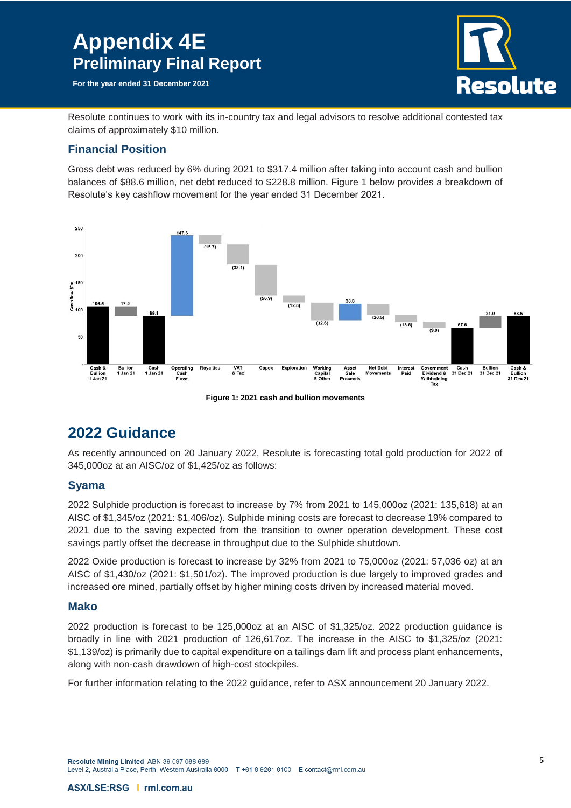**For the year ended 31 December 2021**



Resolute continues to work with its in-country tax and legal advisors to resolve additional contested tax claims of approximately \$10 million.

### **Financial Position**

Gross debt was reduced by 6% during 2021 to \$317.4 million after taking into account cash and bullion balances of \$88.6 million, net debt reduced to \$228.8 million. Figure 1 below provides a breakdown of Resolute's key cashflow movement for the year ended 31 December 2021.



**Figure 1: 2021 cash and bullion movements**

## **2022 Guidance**

As recently announced on 20 January 2022, Resolute is forecasting total gold production for 2022 of 345,000oz at an AISC/oz of \$1,425/oz as follows:

### **Syama**

2022 Sulphide production is forecast to increase by 7% from 2021 to 145,000oz (2021: 135,618) at an AISC of \$1,345/oz (2021: \$1,406/oz). Sulphide mining costs are forecast to decrease 19% compared to 2021 due to the saving expected from the transition to owner operation development. These cost savings partly offset the decrease in throughput due to the Sulphide shutdown.

2022 Oxide production is forecast to increase by 32% from 2021 to 75,000oz (2021: 57,036 oz) at an AISC of \$1,430/oz (2021: \$1,501/oz). The improved production is due largely to improved grades and increased ore mined, partially offset by higher mining costs driven by increased material moved.

#### **Mako**

2022 production is forecast to be 125,000oz at an AISC of \$1,325/oz. 2022 production guidance is broadly in line with 2021 production of 126,617oz. The increase in the AISC to \$1,325/oz (2021: \$1,139/oz) is primarily due to capital expenditure on a tailings dam lift and process plant enhancements, along with non-cash drawdown of high-cost stockpiles.

For further information relating to the 2022 guidance, refer to ASX announcement 20 January 2022.